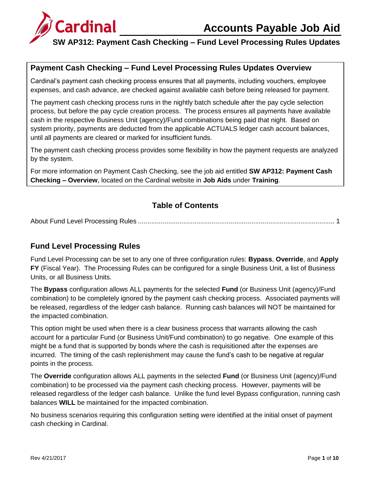# **Accounts Payable Job Aid**



### **SW AP312: Payment Cash Checking – Fund Level Processing Rules Updates**

### **Payment Cash Checking – Fund Level Processing Rules Updates Overview**

Cardinal's payment cash checking process ensures that all payments, including vouchers, employee expenses, and cash advance, are checked against available cash before being released for payment.

The payment cash checking process runs in the nightly batch schedule after the pay cycle selection process, but before the pay cycle creation process. The process ensures all payments have available cash in the respective Business Unit (agency)/Fund combinations being paid that night. Based on system priority, payments are deducted from the applicable ACTUALS ledger cash account balances, until all payments are cleared or marked for insufficient funds.

The payment cash checking process provides some flexibility in how the payment requests are analyzed by the system.

For more information on Payment Cash Checking, see the job aid entitled **SW AP312: Payment Cash Checking – Overview**, located on the Cardinal website in **Job Aids** under **Training**.

#### **Table of Contents**

About Fund Level Processing Rules [........................................................................................................](#page-0-0) 1

#### <span id="page-0-0"></span>**Fund Level Processing Rules**

Fund Level Processing can be set to any one of three configuration rules: **Bypass**, **Override**, and **Apply FY** (Fiscal Year). The Processing Rules can be configured for a single Business Unit, a list of Business Units, or all Business Units.

The **Bypass** configuration allows ALL payments for the selected **Fund** (or Business Unit (agency)/Fund combination) to be completely ignored by the payment cash checking process. Associated payments will be released, regardless of the ledger cash balance. Running cash balances will NOT be maintained for the impacted combination.

This option might be used when there is a clear business process that warrants allowing the cash account for a particular Fund (or Business Unit/Fund combination) to go negative. One example of this might be a fund that is supported by bonds where the cash is requisitioned after the expenses are incurred. The timing of the cash replenishment may cause the fund's cash to be negative at regular points in the process.

The **Override** configuration allows ALL payments in the selected **Fund** (or Business Unit (agency)/Fund combination) to be processed via the payment cash checking process. However, payments will be released regardless of the ledger cash balance. Unlike the fund level Bypass configuration, running cash balances **WILL** be maintained for the impacted combination.

No business scenarios requiring this configuration setting were identified at the initial onset of payment cash checking in Cardinal.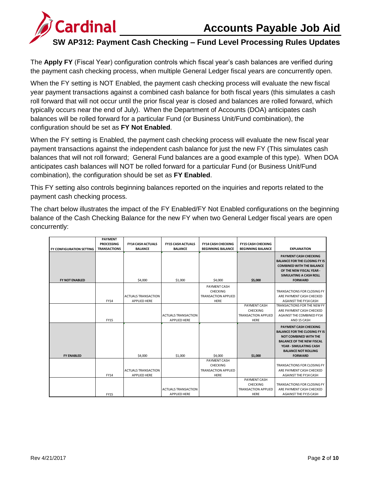# **Accounts Payable Job Aid**



### **SW AP312: Payment Cash Checking – Fund Level Processing Rules Updates**

The **Apply FY** (Fiscal Year) configuration controls which fiscal year's cash balances are verified during the payment cash checking process, when multiple General Ledger fiscal years are concurrently open.

When the FY setting is NOT Enabled, the payment cash checking process will evaluate the new fiscal year payment transactions against a combined cash balance for both fiscal years (this simulates a cash roll forward that will not occur until the prior fiscal year is closed and balances are rolled forward, which typically occurs near the end of July). When the Department of Accounts (DOA) anticipates cash balances will be rolled forward for a particular Fund (or Business Unit/Fund combination), the configuration should be set as **FY Not Enabled**.

When the FY setting is Enabled, the payment cash checking process will evaluate the new fiscal year payment transactions against the independent cash balance for just the new FY (This simulates cash balances that will not roll forward; General Fund balances are a good example of this type). When DOA anticipates cash balances will NOT be rolled forward for a particular Fund (or Business Unit/Fund combination), the configuration should be set as **FY Enabled**.

This FY setting also controls beginning balances reported on the inquiries and reports related to the payment cash checking process.

The chart below illustrates the impact of the FY Enabled/FY Not Enabled configurations on the beginning balance of the Cash Checking Balance for the new FY when two General Ledger fiscal years are open concurrently:

|                                 | <b>PAYMENT</b>      |                                                   |                            |                                                                |                            |                                                                                                                                                                                           |
|---------------------------------|---------------------|---------------------------------------------------|----------------------------|----------------------------------------------------------------|----------------------------|-------------------------------------------------------------------------------------------------------------------------------------------------------------------------------------------|
|                                 | <b>PROCESSING</b>   | <b>FY14 CASH ACTUALS</b>                          | <b>FY15 CASH ACTUALS</b>   | <b>FY14 CASH CHECKING</b>                                      | <b>FY15 CASH CHECKING</b>  |                                                                                                                                                                                           |
| <b>FY CONFIGURATION SETTING</b> | <b>TRANSACTIONS</b> | <b>BALANCE</b>                                    | <b>BALANCE</b>             | <b>BEGINNING BALANCE</b>                                       | <b>BEGINNING BALANCE</b>   | <b>EXPLANATION</b>                                                                                                                                                                        |
| <b>FY NOT ENABLED</b>           |                     | \$4,000                                           | \$1,000                    | \$4,000                                                        | \$5,000                    | <b>PAYMENT CASH CHECKING</b><br><b>BALANCE FOR THE CLOSING FY IS</b><br><b>COMBINED WITH THE BALANCE</b><br>OF THE NEW FISCAL YEAR -<br>SIMULATING A CASH ROLL<br><b>FORWARD</b>          |
|                                 |                     |                                                   |                            |                                                                |                            |                                                                                                                                                                                           |
|                                 | <b>FY14</b>         | <b>ACTUALS TRANSACTION</b><br><b>APPLIED HERE</b> |                            | PAYMENT CASH<br>CHECKING<br><b>TRANSACTION APPLIED</b><br>HERE |                            | TRANSACTIONS FOR CLOSING FY<br>ARE PAYMENT CASH CHECKED<br><b>AGAINST THE FY14 CASH</b>                                                                                                   |
|                                 |                     |                                                   |                            |                                                                | <b>PAYMENT CASH</b>        | TRANSACTIONS FOR THE NEW FY                                                                                                                                                               |
|                                 |                     |                                                   |                            |                                                                | <b>CHECKING</b>            | ARE PAYMENT CASH CHECKED                                                                                                                                                                  |
|                                 |                     |                                                   | <b>ACTUALS TRANSACTION</b> |                                                                | <b>TRANSACTION APPLIED</b> | <b>AGAINST THE COMBINED FY14</b>                                                                                                                                                          |
|                                 | <b>FY15</b>         |                                                   | APPLIED HERE               |                                                                | <b>HERE</b>                | AND 15 CASH                                                                                                                                                                               |
|                                 |                     |                                                   |                            |                                                                |                            | PAYMENT CASH CHECKING<br><b>BALANCE FOR THE CLOSING FY IS</b><br><b>NOT COMBINED WITH THE</b><br><b>BALANCE OF THE NEW FISCAL</b><br>YEAR - SIMULATING CASH<br><b>BALANCE NOT ROLLING</b> |
| <b>FY ENABLED</b>               |                     | \$4,000                                           | \$1,000                    | \$4,000                                                        | \$1,000                    | <b>FORWARD</b>                                                                                                                                                                            |
|                                 | FY14                | <b>ACTUALS TRANSACTION</b><br><b>APPLIED HERE</b> |                            | PAYMENT CASH<br>CHECKING<br><b>TRANSACTION APPLIED</b><br>HERE |                            | TRANSACTIONS FOR CLOSING FY<br>ARE PAYMENT CASH CHECKED<br><b>AGAINST THE FY14 CASH</b>                                                                                                   |
|                                 |                     |                                                   |                            |                                                                | <b>PAYMENT CASH</b>        |                                                                                                                                                                                           |
|                                 |                     |                                                   |                            |                                                                | <b>CHECKING</b>            | TRANSACTIONS FOR CLOSING FY                                                                                                                                                               |
|                                 |                     |                                                   | <b>ACTUALS TRANSACTION</b> |                                                                | <b>TRANSACTION APPLIED</b> | ARE PAYMENT CASH CHECKED                                                                                                                                                                  |
|                                 | <b>FY15</b>         |                                                   | <b>APPLIFD HFRF</b>        |                                                                | <b>HERE</b>                | <b>AGAINST THE FY15 CASH</b>                                                                                                                                                              |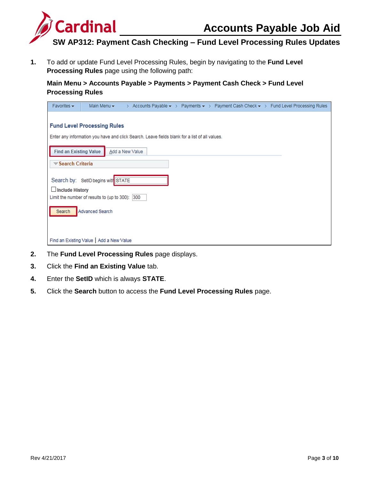



**1.** To add or update Fund Level Processing Rules, begin by navigating to the **Fund Level Processing Rules** page using the following path:

**Main Menu > Accounts Payable > Payments > Payment Cash Check > Fund Level Processing Rules**

| Favorites $\star$                                                         | Main Menu $\star$                  | $\geq$                                                                                                           |  | Accounts Payable $\star$ > Payments $\star$ > Payment Cash Check $\star$ > Fund Level Processing Rules |
|---------------------------------------------------------------------------|------------------------------------|------------------------------------------------------------------------------------------------------------------|--|--------------------------------------------------------------------------------------------------------|
| <b>Fund Level Processing Rules</b>                                        |                                    |                                                                                                                  |  |                                                                                                        |
| <b>Find an Existing Value</b>                                             |                                    | Enter any information you have and click Search. Leave fields blank for a list of all values.<br>Add a New Value |  |                                                                                                        |
| $\blacktriangledown$ Search Criteria                                      |                                    |                                                                                                                  |  |                                                                                                        |
|                                                                           | Search by: SetID begins with STATE |                                                                                                                  |  |                                                                                                        |
| $\Box$ Include History<br>Limit the number of results to (up to 300): 300 |                                    |                                                                                                                  |  |                                                                                                        |
| Search                                                                    | Advanced Search                    |                                                                                                                  |  |                                                                                                        |
| Find an Existing Value   Add a New Value                                  |                                    |                                                                                                                  |  |                                                                                                        |

- **2.** The **Fund Level Processing Rules** page displays.
- **3.** Click the **Find an Existing Value** tab.
- **4.** Enter the **SetID** which is always **STATE**.
- **5.** Click the **Search** button to access the **Fund Level Processing Rules** page.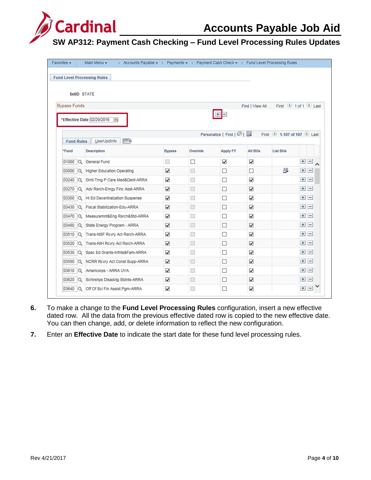

| Favorites $\star$   | Main Menu $\star$<br>> Accounts Payable $\star$ > Payments $\star$ > Payment Cash Check $\star$ > Fund Level Processing Rules |               |                             |                        |                 |                                                |                    |                |  |
|---------------------|-------------------------------------------------------------------------------------------------------------------------------|---------------|-----------------------------|------------------------|-----------------|------------------------------------------------|--------------------|----------------|--|
|                     | <b>Fund Level Processing Rules</b>                                                                                            |               |                             |                        |                 |                                                |                    |                |  |
|                     |                                                                                                                               |               |                             |                        |                 |                                                |                    |                |  |
|                     | SetID STATE                                                                                                                   |               |                             |                        |                 |                                                |                    |                |  |
| <b>Bypass Funds</b> |                                                                                                                               |               |                             |                        | Find   View All | First $\bigcirc$ 1 of 1 $\bigcirc$ Last        |                    |                |  |
|                     |                                                                                                                               |               |                             | $+$ $-$                |                 |                                                |                    |                |  |
|                     | *Effective Date 02/29/2016<br>h                                                                                               |               |                             |                        |                 |                                                |                    |                |  |
|                     |                                                                                                                               |               |                             | Personalize   Find   2 |                 | First $\bigcirc$ 1-107 of 107 $\bigcirc$ 1 ast |                    |                |  |
| <b>Fund Rules</b>   | (雨)<br><b>UserUpdInfo</b>                                                                                                     |               |                             |                        |                 |                                                |                    |                |  |
| *Fund               | <b>Description</b>                                                                                                            | <b>Bypass</b> | Override                    | <b>Apply FY</b>        | <b>All BUs</b>  | <b>List BUs</b>                                |                    |                |  |
| 01000<br>$\alpha$   | General Fund                                                                                                                  |               | $\Box$                      | ✓                      | ✓               |                                                | $+$                | $=$            |  |
| 03000<br>IQ.        | <b>Higher Education Operating</b>                                                                                             | ✓             |                             | П                      | П               | ్లి                                            | $+$                | H              |  |
| $03240$ $\sqrt{Q}$  | Grnt-Trng P Care Med&Dent-ARRA                                                                                                | ✓             | H                           | П                      | ✓               |                                                | $\left  + \right $ | $\Box$         |  |
| $03270$ $\alpha$    | Adv Rsrch-Enrgy Finc Asst-ARRA                                                                                                | ✓             | u                           | П                      | ✓               |                                                | $\overline{+}$     | $\overline{ }$ |  |
| 03300<br>$\alpha$   | Hi Ed Decentralzation Suspense                                                                                                | ✓             | $\Box$                      | П                      | ✓               |                                                | $\left  + \right $ | $\blacksquare$ |  |
| $03430$ $\sqrt{Q}$  | <b>Fiscal Stabilization-Edu-ARRA</b>                                                                                          | ✓             | $\overline{\phantom{a}}$    | П                      | ✓               |                                                | $\left  + \right $ | $\vert -$      |  |
| $03470$ $ Q_1$      | Measuremnt&Eng Rsrch&Std-ARRA                                                                                                 | ✓             | $\overline{\phantom{a}}$    | П                      | ✓               |                                                | $\left  + \right $ | $\overline{ }$ |  |
| 03480<br>$\alpha$   | State Energy Program - ARRA                                                                                                   | ✓             | $\mathbb{R}^n$              | П                      | ✓               |                                                | $\left  + \right $ | $\vert -$      |  |
| $03510$ $\alpha$    | Trans-NSF Rcvry Act Rsrch-ARRA                                                                                                | ✓             | $\Box$                      | П                      | $\checkmark$    |                                                | $\left  + \right $ | $\overline{ }$ |  |
| 03520<br>Q          | Trans-NIH Rcvry Act Rsrch-ARRA                                                                                                | ✓             | $\Box$                      | □                      | ✓               |                                                | $+$                | $\overline{ }$ |  |
| 03530<br>IQ.        | Spec Ed Grants-Infnts&Fam-ARRA                                                                                                | ✓             | H                           | □                      | ✓               |                                                | $+$                | $\Box$         |  |
| 03590<br>IQ.        | NCRR Rcvry Act Const Supp-ARRA                                                                                                | ✓             |                             | П                      | ✓               |                                                | $+$                | $\overline{ }$ |  |
| $03610$ $\sqrt{Q}$  | Americorps - ARRA UVA                                                                                                         | ✔             |                             | $\Box$                 | ✓               |                                                | $\left  + \right $ | $\overline{ }$ |  |
|                     | 03620 Q Schirshps Disadvig Stdnts-ARRA                                                                                        | ✓             | $\mathcal{L}_{\mathcal{A}}$ | □                      | ✓               |                                                | $\overline{+}$     | $=$            |  |
| 03640<br>lQ.        | Off Of Sci Fin Assist Pgm-ARRA                                                                                                | ✔             | $\Box$                      | □                      | ✓               |                                                | $+$                | H              |  |

- **6.** To make a change to the **Fund Level Processing Rules** configuration, insert a new effective dated row. All the data from the previous effective dated row is copied to the new effective date. You can then change, add, or delete information to reflect the new configuration.
- **7.** Enter an **Effective Date** to indicate the start date for these fund level processing rules.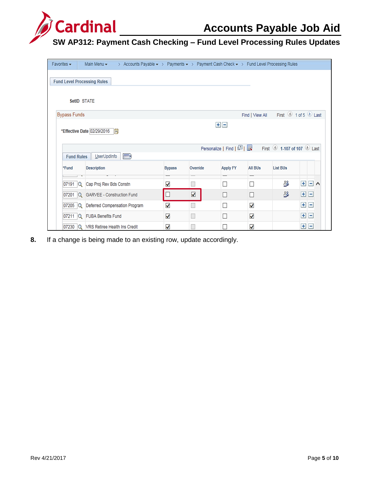

| Favorites $\star$   |                                                                                                         | Main Menu $\star$                      | > Accounts Payable $\star$ > Payments $\star$ > Payment Cash Check $\star$ > Fund Level Processing Rules |               |          |                            |                 |                           |                          |          |  |  |
|---------------------|---------------------------------------------------------------------------------------------------------|----------------------------------------|----------------------------------------------------------------------------------------------------------|---------------|----------|----------------------------|-----------------|---------------------------|--------------------------|----------|--|--|
|                     |                                                                                                         |                                        |                                                                                                          |               |          |                            |                 |                           |                          |          |  |  |
|                     | <b>Fund Level Processing Rules</b>                                                                      |                                        |                                                                                                          |               |          |                            |                 |                           |                          |          |  |  |
|                     | SetID STATE                                                                                             |                                        |                                                                                                          |               |          |                            |                 |                           |                          |          |  |  |
|                     |                                                                                                         |                                        |                                                                                                          |               |          |                            |                 |                           |                          |          |  |  |
| <b>Bypass Funds</b> |                                                                                                         |                                        |                                                                                                          |               |          |                            | Find   View All | First 1 of 5 Last         |                          |          |  |  |
|                     |                                                                                                         |                                        |                                                                                                          |               |          | $+$ $-$                    |                 |                           |                          |          |  |  |
|                     |                                                                                                         | *Effective Date 02/29/2016             | Fij                                                                                                      |               |          |                            |                 |                           |                          |          |  |  |
|                     |                                                                                                         |                                        |                                                                                                          |               |          |                            |                 |                           |                          |          |  |  |
|                     |                                                                                                         |                                        |                                                                                                          |               |          | Personalize   Find   2   # |                 | First 1-107 of 107 2 Last |                          |          |  |  |
|                     | <b>Fund Rules</b>                                                                                       | UserUpdInfo                            | $\ket{m}$                                                                                                |               |          |                            |                 |                           |                          |          |  |  |
| *Fund               |                                                                                                         | <b>Description</b>                     |                                                                                                          | <b>Bypass</b> | Override | <b>Apply FY</b>            | <b>All BUs</b>  | <b>List BUs</b>           |                          |          |  |  |
|                     |                                                                                                         |                                        |                                                                                                          |               |          |                            |                 |                           |                          |          |  |  |
|                     | 07191 $ Q $                                                                                             | Cap Proj Rev Bds Constn                |                                                                                                          | ✔             |          | $\Box$                     | $\Box$          | తి                        | $\pm$<br>$\vert - \vert$ | $\wedge$ |  |  |
|                     | డి<br>$+$<br>√<br>$\mathbf{I}$<br><b>GARVEE - Construction Fund</b><br>П<br>П<br>07201<br>$\alpha$<br>Н |                                        |                                                                                                          |               |          |                            |                 |                           |                          |          |  |  |
|                     | 07205 $ Q $                                                                                             | Deferred Compensation Program          |                                                                                                          | $\checkmark$  |          | $\Box$                     | ✔               |                           | $+$<br>$\vert - \vert$   |          |  |  |
|                     | $07211$ $\sqrt{Q}$                                                                                      | <b>FUBA Benefits Fund</b>              |                                                                                                          | $\checkmark$  |          | П                          | ✔               |                           | $\left  + \right $<br>H  |          |  |  |
| 07230               |                                                                                                         | <b>Q</b> VRS Retiree Health Ins Credit |                                                                                                          | ✔             |          | г                          | ✔               |                           | $\left  + \right $<br>۰  |          |  |  |

**8.** If a change is being made to an existing row, update accordingly.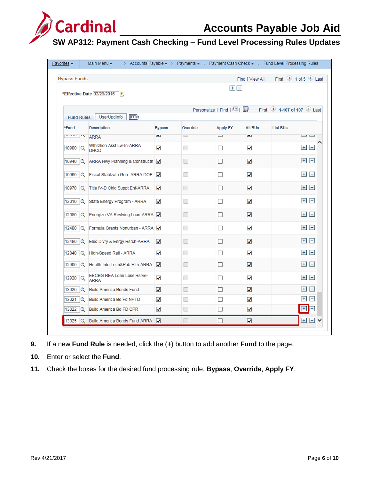

| <b>Bypass Funds</b>                                          |                                           |                      |          |                 | Find I View All | First 4 1 of 5 Last |         |                 |  |  |  |
|--------------------------------------------------------------|-------------------------------------------|----------------------|----------|-----------------|-----------------|---------------------|---------|-----------------|--|--|--|
| $+$ $-$                                                      |                                           |                      |          |                 |                 |                     |         |                 |  |  |  |
| *Effective Date 02/29/2016<br>l Bil                          |                                           |                      |          |                 |                 |                     |         |                 |  |  |  |
| Personalize   Find   2           First   1-107 of 107   Last |                                           |                      |          |                 |                 |                     |         |                 |  |  |  |
|                                                              | Fund Rules   UserUpdInfo<br><b>EED</b>    |                      |          |                 |                 |                     |         |                 |  |  |  |
| *Fund                                                        | <b>Description</b>                        | <b>Bypass</b>        | Override | <b>Apply FY</b> | <b>All BUs</b>  | <b>List BUs</b>     |         |                 |  |  |  |
| <b>IDOTO IN ARRA</b>                                         |                                           | <b>M</b>             | $\Box$   | $\Box$          | $\mathbf{v}$    |                     | ت ت     |                 |  |  |  |
| 10900 Q                                                      | Wthrztion Asst Lw-In-ARRA<br><b>DHCD</b>  | ✓                    |          | П               | ✓               |                     | $+$ $-$ |                 |  |  |  |
| 10940                                                        | Q ARRA Hwy Planning & Constructn          |                      |          | П               | ✓               |                     | H.      | $\vert - \vert$ |  |  |  |
|                                                              | 10960 Q Fiscal Stablzatn Gen- ARRA DOE V  |                      | ा        | П               | ✓               |                     | $+$ $-$ |                 |  |  |  |
|                                                              | 10970 Q Title IV-D Chld Suppt Enf-ARRA    | ✓                    |          | П               | ✓               |                     | $+$ $-$ |                 |  |  |  |
|                                                              | 12010 Q State Energy Program - ARRA       | $\blacktriangledown$ |          | П               | ✓               |                     | $+$ $-$ |                 |  |  |  |
|                                                              | 12080 Q Energize VA Reviving Loan-ARRA    |                      |          | $\Box$          | ⊽               |                     | $+$ $-$ |                 |  |  |  |
|                                                              | 12400 Q Formula Grants Nonurban - ARRA O  |                      |          | П               | ✓               |                     | $+$ $-$ |                 |  |  |  |
|                                                              | 12490 Q Elec Divry & Enrgy Rsrch-ARRA     | ✓                    | ٠        | П               | ✓               |                     | $+$ $-$ |                 |  |  |  |
|                                                              | 12840 Q High-Speed Rail - ARRA            | ✓                    |          | П               | ✓               |                     | $+$ $-$ |                 |  |  |  |
|                                                              | 12900 Q Health Info Tech&Pub Hith-ARRA    | ◡                    |          | $\mathsf{L}$    | ⊽               |                     | $+$ $-$ |                 |  |  |  |
| 12920 $ Q $                                                  | EECBG REA Loan Loss Rsrve-<br><b>ARRA</b> | ✓                    | n.       | П               | ✓               |                     | $+$ $-$ |                 |  |  |  |
| 13020 Q                                                      | Build America Bonds Fund                  | ✓                    |          | П               | ✓               |                     | ÷       | $\overline{ }$  |  |  |  |
|                                                              | 13021 Q Build America Bd Fd NVTD          | ✓                    |          | П               | ✓               |                     | $+$     | $\overline{ }$  |  |  |  |
|                                                              | 13022 Q Build America Bd FD CPR           | ✓                    | ۳        | $\Box$          | ✓               |                     | $\pm$   |                 |  |  |  |
|                                                              | 13025 Q Build America Bonds Fund-ARRA     |                      |          | П               | ✓               |                     | ÷۱      | $\vert - \vert$ |  |  |  |

- **9.** If a new **Fund Rule** is needed, click the (**+**) button to add another **Fund** to the page.
- **10.** Enter or select the **Fund**.
- **11.** Check the boxes for the desired fund processing rule: **Bypass**, **Override**, **Apply FY**.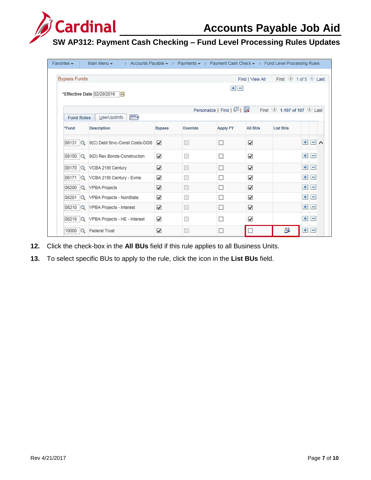

| Favorites $\star$   | Main Menu $\star$<br>> Accounts Payable $\star$ > Payments $\star$ > Payment Cash Check $\star$ > Fund Level Processing Rules |                      |                          |                 |                      |                 |                                 |  |  |  |  |  |
|---------------------|-------------------------------------------------------------------------------------------------------------------------------|----------------------|--------------------------|-----------------|----------------------|-----------------|---------------------------------|--|--|--|--|--|
| <b>Bypass Funds</b> | First 1 of 5 Last<br>Find   View All<br>$+$ $-$<br>*Effective Date 02/29/2016<br>Гij                                          |                      |                          |                 |                      |                 |                                 |  |  |  |  |  |
|                     | First 1-107 of 107 2 Last<br>UserUpdInfo<br>$\ket{\overline{\mathsf{r}}\mathsf{r}}$<br><b>Fund Rules</b>                      |                      |                          |                 |                      |                 |                                 |  |  |  |  |  |
| *Fund               | <b>Description</b>                                                                                                            | <b>Bypass</b>        | Override                 | <b>Apply FY</b> | <b>All BUs</b>       | <b>List BUs</b> |                                 |  |  |  |  |  |
|                     | 08131 Q 9(C) Debt Srvc-Const Costs-DGS                                                                                        | $\blacktriangledown$ |                          | П               | $\blacktriangledown$ |                 | $\Box \land$<br>$+$             |  |  |  |  |  |
|                     | 08150 Q 9(D) Rev Bonds-Construction                                                                                           | ✓                    | $\Box$                   | П               | ✓                    |                 | $+$<br>$\equiv$                 |  |  |  |  |  |
|                     | 08170 Q VCBA 21St Century                                                                                                     | ✓                    | $\overline{\phantom{a}}$ | П               | $\blacktriangledown$ |                 | Ξ<br>$+$                        |  |  |  |  |  |
|                     | 08171 Q VCBA 21St Century - Evms                                                                                              | ✔                    | $\overline{\phantom{a}}$ | П               | ✓                    |                 | $+$<br>$\overline{\phantom{0}}$ |  |  |  |  |  |
| 08200               | <b>Q</b> VPBA Projects                                                                                                        | $\blacktriangledown$ | $\Box$                   | П               | ✓                    |                 | $+$<br>$\equiv$                 |  |  |  |  |  |
|                     | 08201 Q VPBA Projects - NonState                                                                                              | ✓                    | $\Box$                   | Г               | ✓                    |                 | $\qquad \qquad \Box$<br>$+$     |  |  |  |  |  |
|                     | 08210 Q VPBA Projects - Interest                                                                                              | ✔                    | H                        | П               | ✓                    |                 | Е<br>$+$                        |  |  |  |  |  |
|                     | 08219 Q VPBA Projects - HE - Interest                                                                                         | ✓                    |                          | □               | ✓                    |                 | $+$<br>$\equiv$                 |  |  |  |  |  |
|                     | 10000 Q Federal Trust                                                                                                         | $\checkmark$         |                          | П               |                      | డి              | $+$<br>$\equiv$                 |  |  |  |  |  |

- **12.** Click the check-box in the **All BUs** field if this rule applies to all Business Units.
- **13.** To select specific BUs to apply to the rule, click the icon in the **List BUs** field.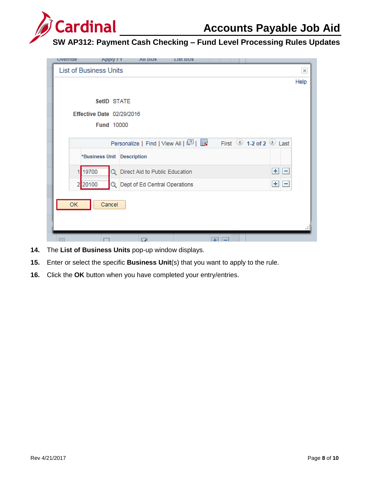

| Overrige | <b>Apply FY</b>               | <b>All BUS</b>                        | LISI BUS |    |                     |          |
|----------|-------------------------------|---------------------------------------|----------|----|---------------------|----------|
|          | <b>List of Business Units</b> |                                       |          |    |                     | $\times$ |
|          |                               |                                       |          |    |                     | Help     |
|          |                               |                                       |          |    |                     |          |
|          | SetID STATE                   |                                       |          |    |                     |          |
|          | Effective Date 02/29/2016     |                                       |          |    |                     |          |
|          | Fund 10000                    |                                       |          |    |                     |          |
|          |                               |                                       |          |    |                     |          |
|          |                               | Personalize   Find   View All   2   표 |          |    | First 1-2 of 2 Last |          |
|          | *Business Unit Description    |                                       |          |    |                     |          |
|          | 19700                         | Q Direct Aid to Public Education      |          |    | $+$ $-$             |          |
|          | 20100<br>2                    | Q Dept of Ed Central Operations       |          |    | 비비                  |          |
| OK       | Cancel                        |                                       |          |    |                     |          |
|          |                               | $\overline{ }$                        |          | æТ |                     |          |

- **14.** The **List of Business Units** pop-up window displays.
- **15.** Enter or select the specific **Business Unit**(s) that you want to apply to the rule.
- **16.** Click the **OK** button when you have completed your entry/entries.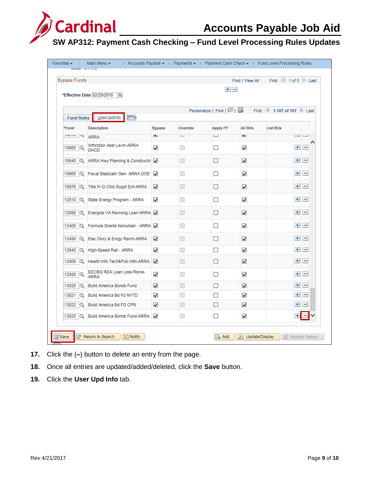

| <b>Bypass Funds</b> |                                           |                      |                          | $+$ $-$                                                                                        | Find   View All |                 | First 4 1 of 5 Last    |
|---------------------|-------------------------------------------|----------------------|--------------------------|------------------------------------------------------------------------------------------------|-----------------|-----------------|------------------------|
|                     | *Effective Date 02/29/2016<br>list        |                      |                          |                                                                                                |                 |                 |                        |
|                     |                                           |                      |                          | Personalize   Find   $\boxed{2}$   $\boxed{1}$ First $\boxed{0}$ 1-107 of 107 $\boxed{0}$ Last |                 |                 |                        |
| <b>Fund Rules</b>   | UserUpdInfo<br>(FEED)                     |                      |                          |                                                                                                |                 |                 |                        |
| *Fund               | <b>Description</b>                        | <b>Bypass</b>        | Override                 | <b>Apply FY</b>                                                                                | <b>All BUs</b>  | <b>List BUs</b> |                        |
| <b>IDOTO X ARRA</b> |                                           | $\mathbf{v}$         | $\Box$                   | $\Box$                                                                                         | <b>Y</b>        |                 | ت ت                    |
| 10900 Q             | Wthrztion Asst Lw-In-ARRA<br><b>DHCD</b>  | $\checkmark$         | H                        | П                                                                                              | ✓               |                 | $+$<br>$\vert -$       |
|                     | 10940 Q ARRA Hwy Planning & Constructn    |                      |                          | П                                                                                              | ✓               |                 | $\overline{ }$<br>$+1$ |
| 10960 $ Q $         | Fiscal Stablzatn Gen- ARRA DOE            | ✓                    | n.                       | П                                                                                              | ✓               |                 | $+$<br>$\overline{ }$  |
|                     | 10970 Q Title IV-D Chld Suppt Enf-ARRA    | ✓                    | П                        | П                                                                                              | ✓               |                 | $+$ $-$                |
|                     | 12010 Q State Energy Program - ARRA       | $\checkmark$         |                          | П                                                                                              | ✓               |                 | $\pm$ $\pm$            |
|                     | 12080 Q Energize VA Reviving Loan-ARRA    |                      | п                        | П                                                                                              | ✓               |                 | $+$ $-$                |
|                     | 12400 Q Formula Grants Nonurban - ARRA    |                      | □                        | П                                                                                              | ✓               |                 | $\overline{ }$<br>$+$  |
|                     | 12490 Q Elec Divry & Enrgy Rsrch-ARRA     | $\blacktriangledown$ | $\overline{\phantom{a}}$ | П                                                                                              | ✓               |                 | $+$<br>$\overline{ }$  |
|                     | 12840 Q High-Speed Rail - ARRA            | ✓                    | П                        | П                                                                                              | √               |                 | $+1$<br>H              |
|                     | 12900 Q Health Info Tech&Pub Hith-ARRA    | ◡                    | □                        | П                                                                                              | ✓               |                 | $\overline{ }$<br>$+$  |
| 12920 $ Q $         | EECBG REA Loan Loss Rsrve-<br><b>ARRA</b> | ✓                    | $\Box$                   | П                                                                                              | ✓               |                 | $+$ $-$                |
| 13020<br>lQ.        | Build America Bonds Fund                  | ✓                    | <b>I</b>                 | П                                                                                              | ✓               |                 | $+$<br>$\vert -$       |
| 13021 $ Q $         | Build America Bd Fd NVTD                  | ✓                    | ш                        | $\Box$                                                                                         | ✓               |                 | $\vert - \vert$<br>$+$ |
| 13022 Q             | Build America Bd FD CPR                   | ⊽                    |                          | П                                                                                              | ✓               |                 | $+$ $-$                |
|                     | 13025 Q Build America Bonds Fund-ARRA     | ✓                    | $\overline{\phantom{a}}$ | $\Box$                                                                                         | ✓               |                 | ÷۱<br>IН               |

- **17.** Click the (**–**) button to delete an entry from the page.
- **18.** Once all entries are updated/added/deleted, click the **Save** button.
- **19.** Click the **User Upd Info** tab.